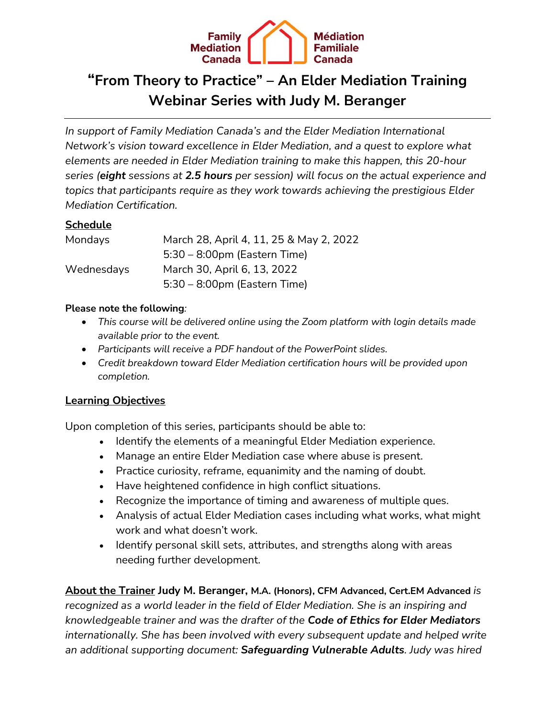

# **"From Theory to Practice" – An Elder Mediation Training Webinar Series with Judy M. Beranger**

*In support of Family Mediation Canada's and the Elder Mediation International Network's vision toward excellence in Elder Mediation, and a quest to explore what elements are needed in Elder Mediation training to make this happen, this 20-hour series (eight sessions at 2.5 hours per session) will focus on the actual experience and topics that participants require as they work towards achieving the prestigious Elder Mediation Certification.*

## **Schedule**

| Mondays    | March 28, April 4, 11, 25 & May 2, 2022 |
|------------|-----------------------------------------|
|            | $5:30 - 8:00$ pm (Eastern Time)         |
| Wednesdays | March 30, April 6, 13, 2022             |
|            | $5:30 - 8:00$ pm (Eastern Time)         |

### **Please note the following***:*

- *This course will be delivered online using the Zoom platform with login details made available prior to the event.*
- *Participants will receive a PDF handout of the PowerPoint slides.*
- *Credit breakdown toward Elder Mediation certification hours will be provided upon completion.*

### **Learning Objectives**

Upon completion of this series, participants should be able to:

- Identify the elements of a meaningful Elder Mediation experience.
- Manage an entire Elder Mediation case where abuse is present.
- Practice curiosity, reframe, equanimity and the naming of doubt.
- Have heightened confidence in high conflict situations.
- Recognize the importance of timing and awareness of multiple ques.
- Analysis of actual Elder Mediation cases including what works, what might work and what doesn't work.
- Identify personal skill sets, attributes, and strengths along with areas needing further development.

**About the Trainer Judy M. Beranger, M.A. (Honors), CFM Advanced, Cert.EM Advanced** *is recognized as a world leader in the field of Elder Mediation. She is an inspiring and knowledgeable trainer and was the drafter of the Code of Ethics for Elder Mediators internationally. She has been involved with every subsequent update and helped write an additional supporting document: Safeguarding Vulnerable Adults. Judy was hired*